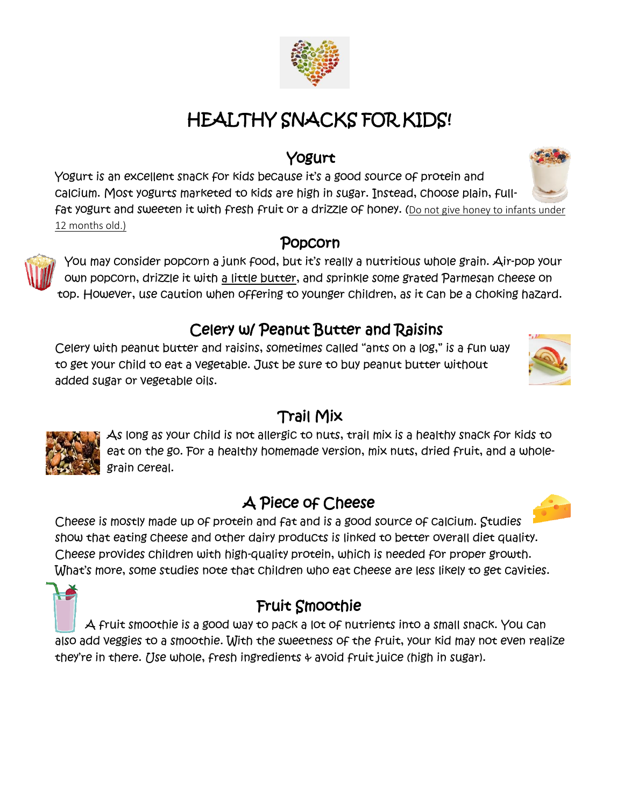# HEALTHY SNACKS FOR KIDS!

### Yogurt

Yogurt is an excellent snack for kids because it's a good source of protein and calcium. Most yogurts marketed to kids are high in sugar. Instead, choose plain, fullfat yogurt and sweeten it with fresh fruit or a drizzle of honey. (Do not give honey to infants under 12 months old.)

#### Popcorn

You may consider popcorn a junk food, but it's really a nutritious whole grain. Air-pop your own popcorn, drizzle it with a little butter, and sprinkle some grated Parmesan cheese on top. However, use caution when offering to younger children, as it can be a choking hazard.

# Celery w/ Peanut Butter and Raisins

Celery with peanut butter and raisins, sometimes called "ants on a log," is a fun way to get your child to eat a vegetable. Just be sure to buy peanut butter without added sugar or vegetable oils.

# Trail Mix

As long as your child is not allergic to nuts, trail mix is a healthy snack for kids to eat on the go. For a healthy homemade version, mix nuts, dried fruit, and a wholegrain cereal.

# A Piece of Cheese

Cheese is mostly made up of protein and fat and is a good source of calcium. Studies show that eating cheese and other dairy products is linked to better overall diet quality. Cheese provides children with high-quality protein, which is needed for proper growth. What's more, some studies note that children who eat cheese are less likely to get cavities.

# Fruit Smoothie

A fruit smoothie is a good way to pack a lot of nutrients into a small snack. You can also add veggies to a smoothie. With the sweetness of the fruit, your kid may not even realize they're in there. Use whole, fresh ingredients  $\phi$  avoid fruit juice (high in sugar).







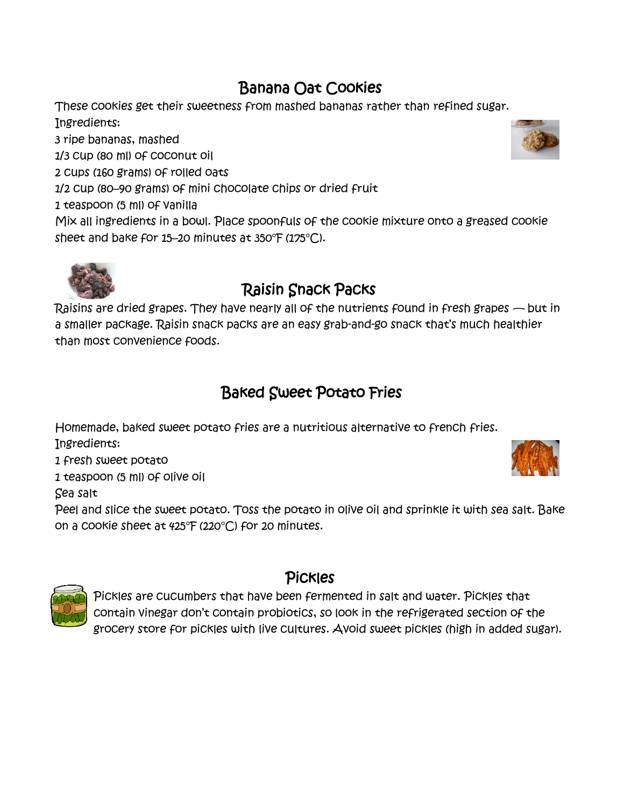# Banana Oat Cookies

These cookies get their sweetness from mashed bananas rather than refined sugar. Ingredients:

3 ripe bananas, mashed

1/3 cup (80 ml) of coconut oil

2 cups (160 grams) of rolled oats

1/2 cup (80–90 grams) of mini chocolate chips or dried fruit

1 teaspoon (5 ml) of vanilla

Mix all ingredients in a bowl. Place spoonfuls of the cookie mixture onto a greased cookie sheet and bake for 15–20 minutes at 350°F (175°C).



# Raisin Snack Packs

Raisins are dried grapes. They have nearly all of the nutrients found in fresh grapes — but in a smaller package. Raisin snack packs are an easy grab-and-go snack that's much healthier than most convenience foods.

# Baked Sweet Potato Fries

Homemade, baked sweet potato fries are a nutritious alternative to french fries. Ingredients:

1 fresh sweet potato

1 teaspoon (5 ml) of olive oil

Sea salt

Peel and slice the sweet potato. Toss the potato in olive oil and sprinkle it with sea salt. Bake on a cookie sheet at 425°F (220°C) for 20 minutes.



#### Pickles

Pickles are cucumbers that have been fermented in salt and water. Pickles that contain vinegar don't contain probiotics, so look in the refrigerated section of the grocery store for pickles with live cultures. Avoid sweet pickles (high in added sugar).

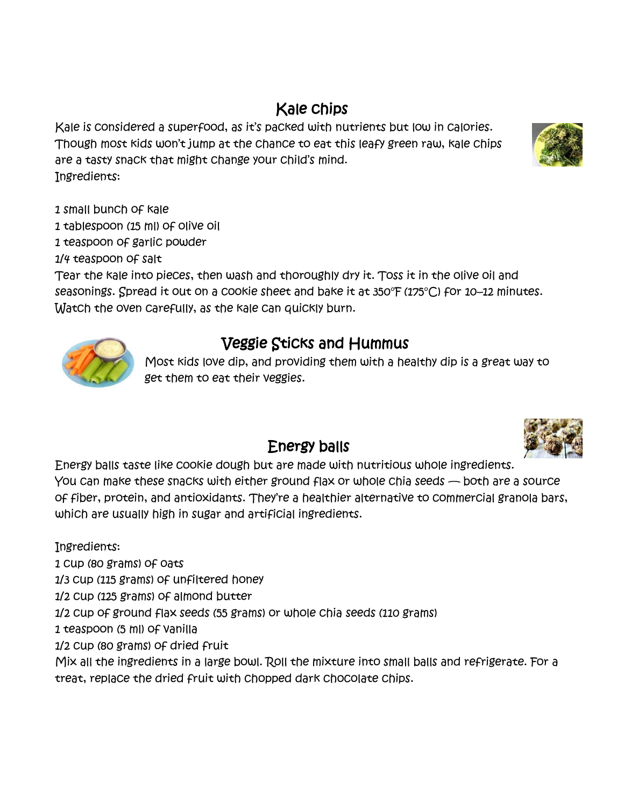# Kale chips

Kale is considered a superfood, as it's packed with nutrients but low in calories. Though most kids won't jump at the chance to eat this leafy green raw, kale chips are a tasty snack that might change your child's mind. Ingredients:

1 small bunch of kale

1 tablespoon (15 ml) of olive oil

1 teaspoon of garlic powder

1/4 teaspoon of salt

Tear the kale into pieces, then wash and thoroughly dry it. Toss it in the olive oil and seasonings. Spread it out on a cookie sheet and bake it at 350°F (175°C) for 10–12 minutes. Watch the oven carefully, as the kale can quickly burn.



# Veggie Sticks and Hummus

Most kids love dip, and providing them with a healthy dip is a great way to get them to eat their veggies.

#### Energy balls

Energy balls taste like cookie dough but are made with nutritious whole ingredients. You can make these snacks with either ground flax or whole chia seeds — both are a source of fiber, protein, and antioxidants. They're a healthier alternative to commercial granola bars, which are usually high in sugar and artificial ingredients.

Ingredients:

1 cup (80 grams) of oats

1/3 cup (115 grams) of unfiltered honey

1/2 cup (125 grams) of almond butter

1/2 cup of ground flax seeds (55 grams) or whole chia seeds (110 grams)

1 teaspoon (5 ml) of vanilla

1/2 cup (80 grams) of dried fruit

Mix all the ingredients in a large bowl. Roll the mixture into small balls and refrigerate. For a treat, replace the dried fruit with chopped dark chocolate chips.